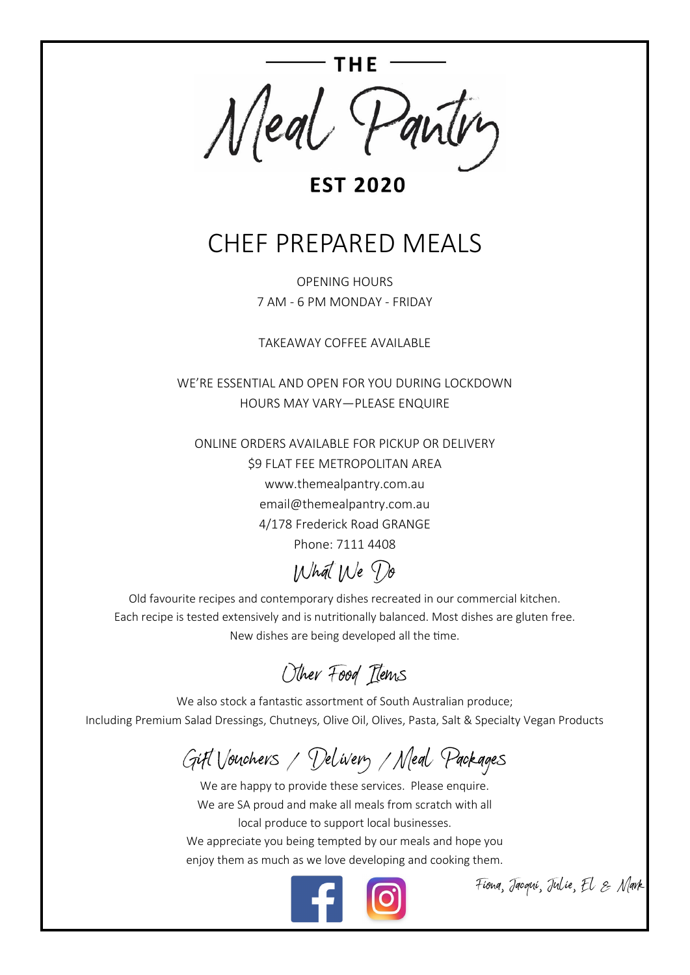

#### **EST 2020**

## CHEF PREPARED MEALS

OPENING HOURS 7 AM - 6 PM MONDAY - FRIDAY

TAKEAWAY COFFEE AVAILABLE

WE'RE ESSENTIAL AND OPEN FOR YOU DURING LOCKDOWN HOURS MAY VARY—PLEASE ENQUIRE

ONLINE ORDERS AVAILABLE FOR PICKUP OR DELIVERY \$9 FLAT FEE METROPOLITAN AREA www.themealpantry.com.au email@themealpantry.com.au 4/178 Frederick Road GRANGE Phone: 7111 4408

### What We Do

Old favourite recipes and contemporary dishes recreated in our commercial kitchen. Each recipe is tested extensively and is nutritionally balanced. Most dishes are gluten free. New dishes are being developed all the time.

Other Food Items

We also stock a fantastic assortment of South Australian produce; Including Premium Salad Dressings, Chutneys, Olive Oil, Olives, Pasta, Salt & Specialty Vegan Products

## Gift Vouchers / Delivery /Meal Packages

We are happy to provide these services. Please enquire. We are SA proud and make all meals from scratch with all local produce to support local businesses. We appreciate you being tempted by our meals and hope you enjoy them as much as we love developing and cooking them.



Fiona, Jacqui, Julie, El & Mark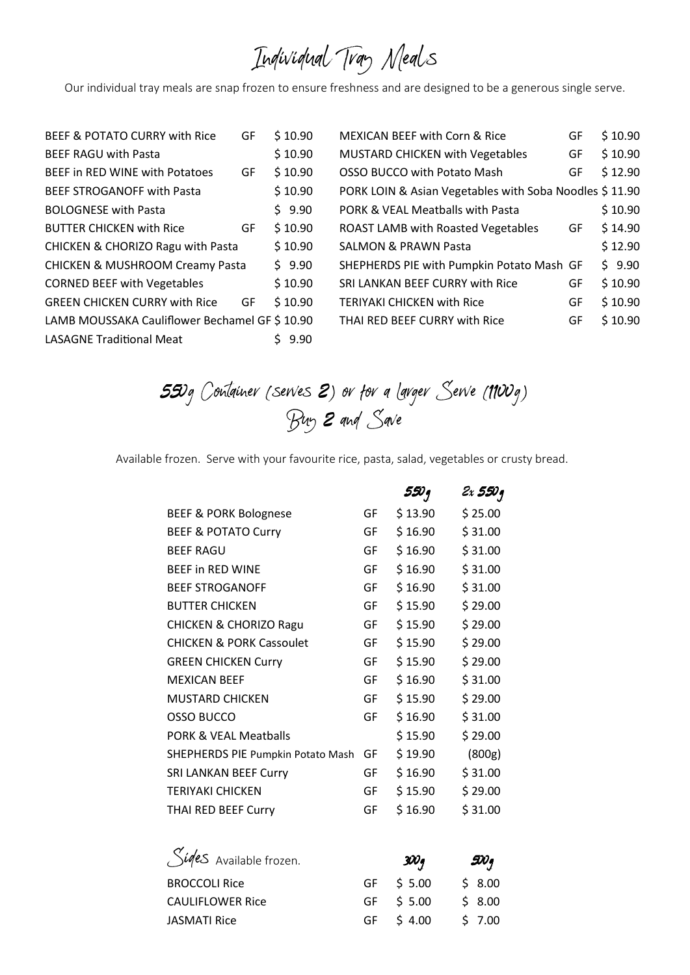# Individual Tray Meals

Our individual tray meals are snap frozen to ensure freshness and are designed to be a generous single serve.

| \$10.90<br><b>BEEF RAGU with Pasta</b><br>\$10.90<br><b>BEEF in RED WINE with Potatoes</b><br>GF<br>\$10.90<br><b>BEEF STROGANOFF with Pasta</b><br>\$9.90<br><b>BOLOGNESE with Pasta</b><br>\$10.90<br><b>BUTTER CHICKEN with Rice</b><br>GF<br>\$10.90<br><b>CHICKEN &amp; CHORIZO Ragu with Pasta</b><br>\$9.90<br><b>CHICKEN &amp; MUSHROOM Creamy Pasta</b><br>\$10.90<br><b>CORNED BEEF with Vegetables</b><br>\$10.90<br><b>GREEN CHICKEN CURRY with Rice</b><br>GF<br>LAMB MOUSSAKA Cauliflower Bechamel GF \$10.90<br><b>LASAGNE Traditional Meat</b><br>9.90 | BEEF & POTATO CURRY with Rice | GF | \$10.90 |
|------------------------------------------------------------------------------------------------------------------------------------------------------------------------------------------------------------------------------------------------------------------------------------------------------------------------------------------------------------------------------------------------------------------------------------------------------------------------------------------------------------------------------------------------------------------------|-------------------------------|----|---------|
|                                                                                                                                                                                                                                                                                                                                                                                                                                                                                                                                                                        |                               |    |         |
|                                                                                                                                                                                                                                                                                                                                                                                                                                                                                                                                                                        |                               |    |         |
|                                                                                                                                                                                                                                                                                                                                                                                                                                                                                                                                                                        |                               |    |         |
|                                                                                                                                                                                                                                                                                                                                                                                                                                                                                                                                                                        |                               |    |         |
|                                                                                                                                                                                                                                                                                                                                                                                                                                                                                                                                                                        |                               |    |         |
|                                                                                                                                                                                                                                                                                                                                                                                                                                                                                                                                                                        |                               |    |         |
|                                                                                                                                                                                                                                                                                                                                                                                                                                                                                                                                                                        |                               |    |         |
|                                                                                                                                                                                                                                                                                                                                                                                                                                                                                                                                                                        |                               |    |         |
|                                                                                                                                                                                                                                                                                                                                                                                                                                                                                                                                                                        |                               |    |         |
|                                                                                                                                                                                                                                                                                                                                                                                                                                                                                                                                                                        |                               |    |         |
|                                                                                                                                                                                                                                                                                                                                                                                                                                                                                                                                                                        |                               |    |         |

| <b>MEXICAN BEEF with Corn &amp; Rice</b>               | GF | \$10.90 |
|--------------------------------------------------------|----|---------|
| <b>MUSTARD CHICKEN with Vegetables</b>                 | GF | \$10.90 |
| <b>OSSO BUCCO with Potato Mash</b>                     | GF | \$12.90 |
| PORK LOIN & Asian Vegetables with Soba Noodles \$11.90 |    |         |
| PORK & VEAL Meatballs with Pasta                       |    | \$10.90 |
| <b>ROAST LAMB with Roasted Vegetables</b>              | GF | \$14.90 |
| <b>SALMON &amp; PRAWN Pasta</b>                        |    | \$12.90 |
| SHEPHERDS PIE with Pumpkin Potato Mash GF              |    | \$9.90  |
| SRI LANKAN BEEF CURRY with Rice                        | GF | \$10.90 |
| <b>TERIYAKI CHICKEN with Rice</b>                      | GF | \$10.90 |
| THAI RED BEEF CURRY with Rice                          | GF | \$10.90 |

*55*0g Container (serves *2*) or for a Larger Serve (1100g) Buy *2* and Save

Available frozen. Serve with your favourite rice, pasta, salad, vegetables or crusty bread.

|                                     |    | 550 q   | 2x 550 q |
|-------------------------------------|----|---------|----------|
| <b>BEEF &amp; PORK Bolognese</b>    | GF | \$13.90 | \$25.00  |
| <b>BEEF &amp; POTATO Curry</b>      | GF | \$16.90 | \$31.00  |
| <b>BEEF RAGU</b>                    | GF | \$16.90 | \$31.00  |
| <b>BEEF in RED WINE</b>             | GF | \$16.90 | \$31.00  |
| <b>BEEF STROGANOFF</b>              | GF | \$16.90 | \$31.00  |
| <b>BUTTER CHICKEN</b>               | GF | \$15.90 | \$29.00  |
| <b>CHICKEN &amp; CHORIZO Ragu</b>   | GF | \$15.90 | \$29.00  |
| <b>CHICKEN &amp; PORK Cassoulet</b> | GF | \$15.90 | \$29.00  |
| <b>GREEN CHICKEN Curry</b>          | GF | \$15.90 | \$29.00  |
| <b>MEXICAN BEEF</b>                 | GF | \$16.90 | \$31.00  |
| <b>MUSTARD CHICKEN</b>              | GF | \$15.90 | \$29.00  |
| <b>OSSO BUCCO</b>                   | GF | \$16.90 | \$31.00  |
| <b>PORK &amp; VEAL Meatballs</b>    |    | \$15.90 | \$29.00  |
| SHEPHERDS PIE Pumpkin Potato Mash   | GF | \$19.90 | (800g)   |
| <b>SRI LANKAN BEEF Curry</b>        | GF | \$16.90 | \$31.00  |
| <b>TERIYAKI CHICKEN</b>             | GF | \$15.90 | \$29.00  |
| THAI RED BEEF Curry                 | GF | \$16.90 | \$31.00  |
|                                     |    |         |          |

| Siges Available frozen. | $3\mathcal{W}$ g | $\mathscr{X}_q$ |
|-------------------------|------------------|-----------------|
| <b>BROCCOLI Rice</b>    | GF \$ 5.00       | \$8.00          |
| <b>CAULIFLOWER Rice</b> | GF \$ 5.00       | \$8.00          |
| <b>JASMATI Rice</b>     | GF \$4.00        | \$7.00          |